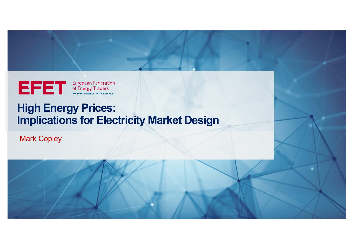European Federation

# **High Energy Prices: Implications for Electricity Market Design**

Mark Copley

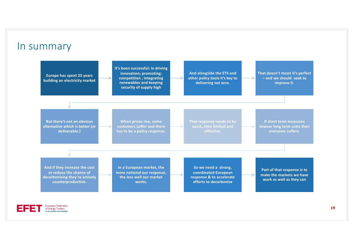#### In summary



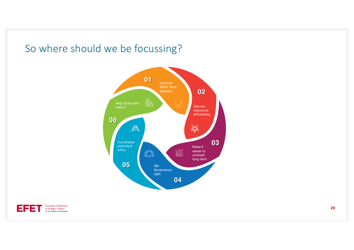## So where should we be focussing?



![](_page_2_Picture_2.jpeg)

**20**